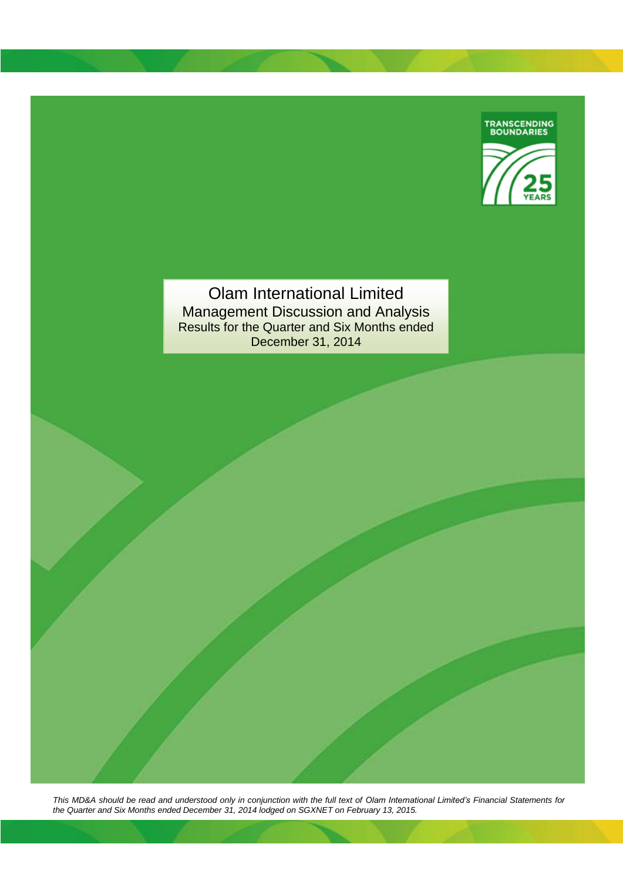

Olam International Limited Management Discussion and Analysis Results for the Quarter and Six Months ended December 31, 2014

*This MD&A should be read and understood only in conjunction with the full text of Olam International Limited's Financial Statements for the Quarter and Six Months ended December 31, 2014 lodged on SGXNET on February 13, 2015.*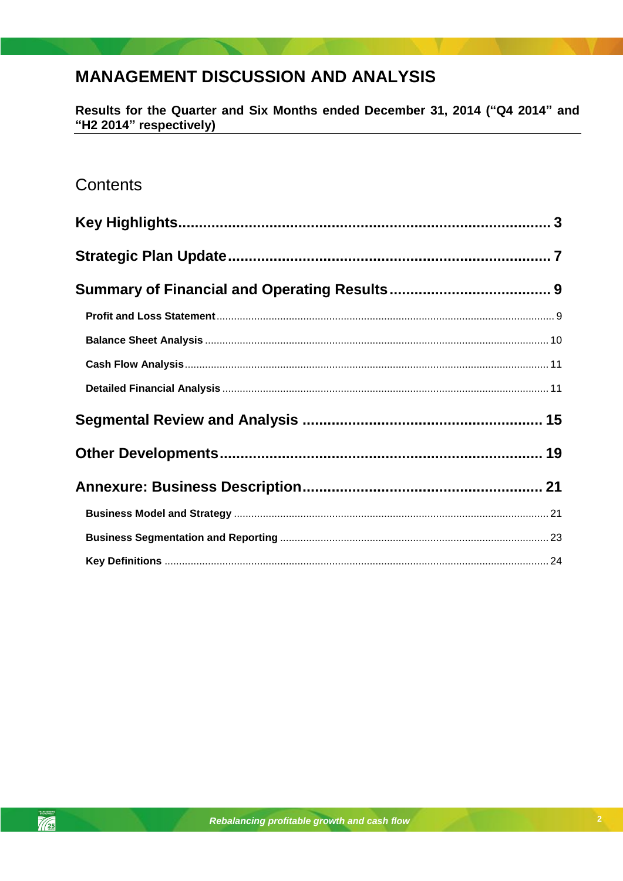# **MANAGEMENT DISCUSSION AND ANALYSIS**

Results for the Quarter and Six Months ended December 31, 2014 ("Q4 2014" and "H2 2014" respectively)

# Contents

 $\frac{1}{\sqrt{25}}$ 

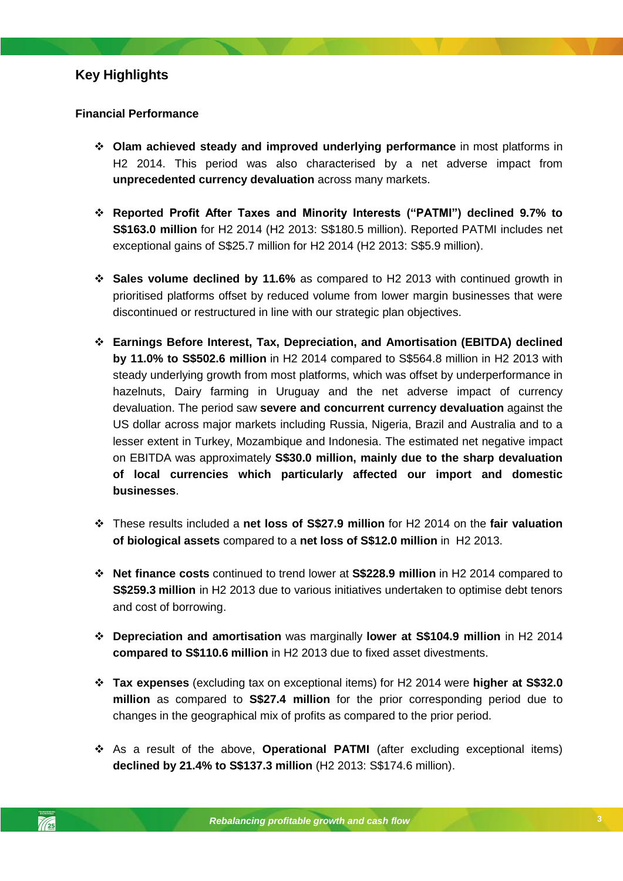### <span id="page-2-0"></span>**Financial Performance**

- **Olam achieved steady and improved underlying performance** in most platforms in H2 2014. This period was also characterised by a net adverse impact from **unprecedented currency devaluation** across many markets.
- **Reported Profit After Taxes and Minority Interests ("PATMI") declined 9.7% to S\$163.0 million** for H2 2014 (H2 2013: S\$180.5 million). Reported PATMI includes net exceptional gains of S\$25.7 million for H2 2014 (H2 2013: S\$5.9 million).
- **Sales volume declined by 11.6%** as compared to H2 2013 with continued growth in prioritised platforms offset by reduced volume from lower margin businesses that were discontinued or restructured in line with our strategic plan objectives.
- *Rebalancing profitable growth and cash flow* **businesses**. **Earnings Before Interest, Tax, Depreciation, and Amortisation (EBITDA) declined by 11.0% to S\$502.6 million** in H2 2014 compared to S\$564.8 million in H2 2013 with steady underlying growth from most platforms, which was offset by underperformance in hazelnuts, Dairy farming in Uruguay and the net adverse impact of currency devaluation. The period saw **severe and concurrent currency devaluation** against the US dollar across major markets including Russia, Nigeria, Brazil and Australia and to a lesser extent in Turkey, Mozambique and Indonesia. The estimated net negative impact on EBITDA was approximately **S\$30.0 million, mainly due to the sharp devaluation of local currencies which particularly affected our import and domestic**
- These results included a **net loss of S\$27.9 million** for H2 2014 on the **fair valuation of biological assets** compared to a **net loss of S\$12.0 million** in H2 2013.
- **Net finance costs** continued to trend lower at **S\$228.9 million** in H2 2014 compared to **S\$259.3 million** in H2 2013 due to various initiatives undertaken to optimise debt tenors and cost of borrowing.
- **Depreciation and amortisation** was marginally **lower at S\$104.9 million** in H2 2014 **compared to S\$110.6 million** in H2 2013 due to fixed asset divestments.
- **Tax expenses** (excluding tax on exceptional items) for H2 2014 were **higher at S\$32.0 million** as compared to **S\$27.4 million** for the prior corresponding period due to changes in the geographical mix of profits as compared to the prior period.
- As a result of the above, **Operational PATMI** (after excluding exceptional items) **declined by 21.4% to S\$137.3 million** (H2 2013: S\$174.6 million).

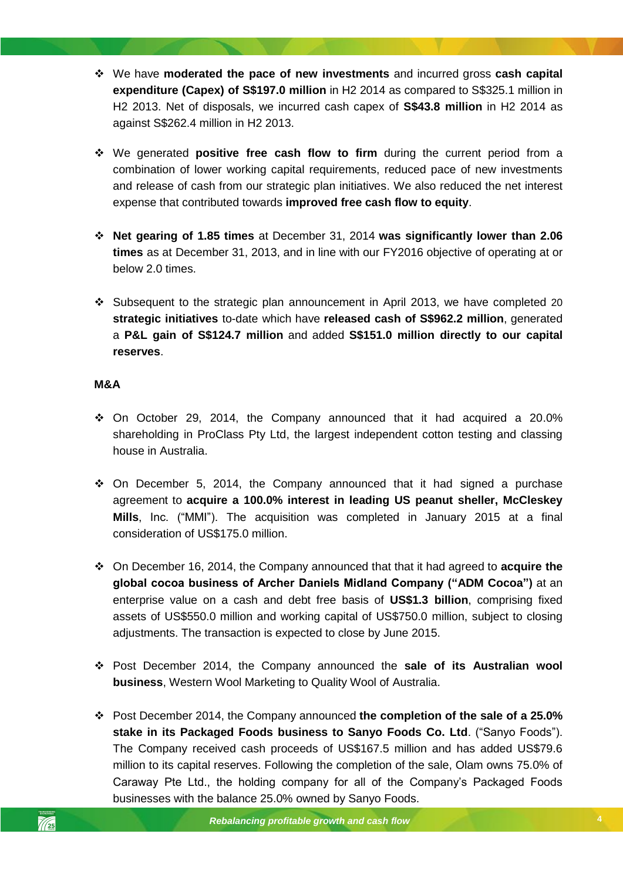- We have **moderated the pace of new investments** and incurred gross **cash capital expenditure (Capex) of S\$197.0 million** in H2 2014 as compared to S\$325.1 million in H2 2013. Net of disposals, we incurred cash capex of **S\$43.8 million** in H2 2014 as against S\$262.4 million in H2 2013.
- We generated **positive free cash flow to firm** during the current period from a combination of lower working capital requirements, reduced pace of new investments and release of cash from our strategic plan initiatives. We also reduced the net interest expense that contributed towards **improved free cash flow to equity**.
- **Net gearing of 1.85 times** at December 31, 2014 **was significantly lower than 2.06 times** as at December 31, 2013, and in line with our FY2016 objective of operating at or below 2.0 times.
- Subsequent to the strategic plan announcement in April 2013, we have completed 20 **strategic initiatives** to-date which have **released cash of S\$962.2 million**, generated a **P&L gain of S\$124.7 million** and added **S\$151.0 million directly to our capital reserves**.

# **M&A**

- $\div$  On October 29, 2014, the Company announced that it had acquired a 20.0% shareholding in ProClass Pty Ltd, the largest independent cotton testing and classing house in Australia.
- ◆ On December 5, 2014, the Company announced that it had signed a purchase agreement to **acquire a 100.0% interest in leading US peanut sheller, McCleskey Mills**, Inc. ("MMI"). The acquisition was completed in January 2015 at a final consideration of US\$175.0 million.
- On December 16, 2014, the Company announced that that it had agreed to **acquire the global cocoa business of Archer Daniels Midland Company ("ADM Cocoa")** at an enterprise value on a cash and debt free basis of **US\$1.3 billion**, comprising fixed assets of US\$550.0 million and working capital of US\$750.0 million, subject to closing adjustments. The transaction is expected to close by June 2015.
- Post December 2014, the Company announced the **sale of its Australian wool business**, Western Wool Marketing to Quality Wool of Australia.
- Post December 2014, the Company announced **the completion of the sale of a 25.0% stake in its Packaged Foods business to Sanyo Foods Co. Ltd**. ("Sanyo Foods"). The Company received cash proceeds of US\$167.5 million and has added US\$79.6 million to its capital reserves. Following the completion of the sale, Olam owns 75.0% of Caraway Pte Ltd., the holding company for all of the Company's Packaged Foods businesses with the balance 25.0% owned by Sanyo Foods.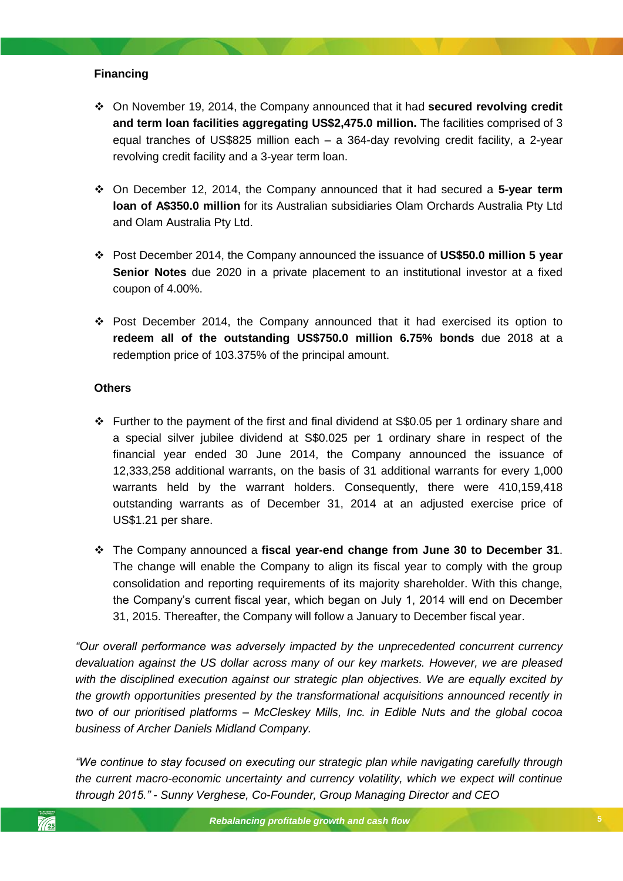# **Financing**

- On November 19, 2014, the Company announced that it had **secured revolving credit and term loan facilities aggregating US\$2,475.0 million.** The facilities comprised of 3 equal tranches of US\$825 million each – a 364-day revolving credit facility, a 2-year revolving credit facility and a 3-year term loan.
- On December 12, 2014, the Company announced that it had secured a **5-year term loan of A\$350.0 million** for its Australian subsidiaries Olam Orchards Australia Pty Ltd and Olam Australia Pty Ltd.
- Post December 2014, the Company announced the issuance of **US\$50.0 million 5 year Senior Notes** due 2020 in a private placement to an institutional investor at a fixed coupon of 4.00%.
- Post December 2014, the Company announced that it had exercised its option to **redeem all of the outstanding US\$750.0 million 6.75% bonds** due 2018 at a redemption price of 103.375% of the principal amount.

## **Others**

- warrants held by the warrant holders. Consequently, there were 410,159,418 Further to the payment of the first and final dividend at S\$0.05 per 1 ordinary share and a special silver jubilee dividend at S\$0.025 per 1 ordinary share in respect of the financial year ended 30 June 2014, the Company announced the issuance of 12,333,258 additional warrants, on the basis of 31 additional warrants for every 1,000 outstanding warrants as of December 31, 2014 at an adjusted exercise price of US\$1.21 per share.
- The Company announced a **fiscal year-end change from June 30 to December 31**. The change will enable the Company to align its fiscal year to comply with the group consolidation and reporting requirements of its majority shareholder. With this change, the Company's current fiscal year, which began on July 1, 2014 will end on December 31, 2015. Thereafter, the Company will follow a January to December fiscal year.

*"Our overall performance was adversely impacted by the unprecedented concurrent currency devaluation against the US dollar across many of our key markets. However, we are pleased with the disciplined execution against our strategic plan objectives. We are equally excited by the growth opportunities presented by the transformational acquisitions announced recently in two of our prioritised platforms – McCleskey Mills, Inc. in Edible Nuts and the global cocoa business of Archer Daniels Midland Company.* 

*"We continue to stay focused on executing our strategic plan while navigating carefully through the current macro-economic uncertainty and currency volatility, which we expect will continue through 2015." - Sunny Verghese, Co-Founder, Group Managing Director and CEO*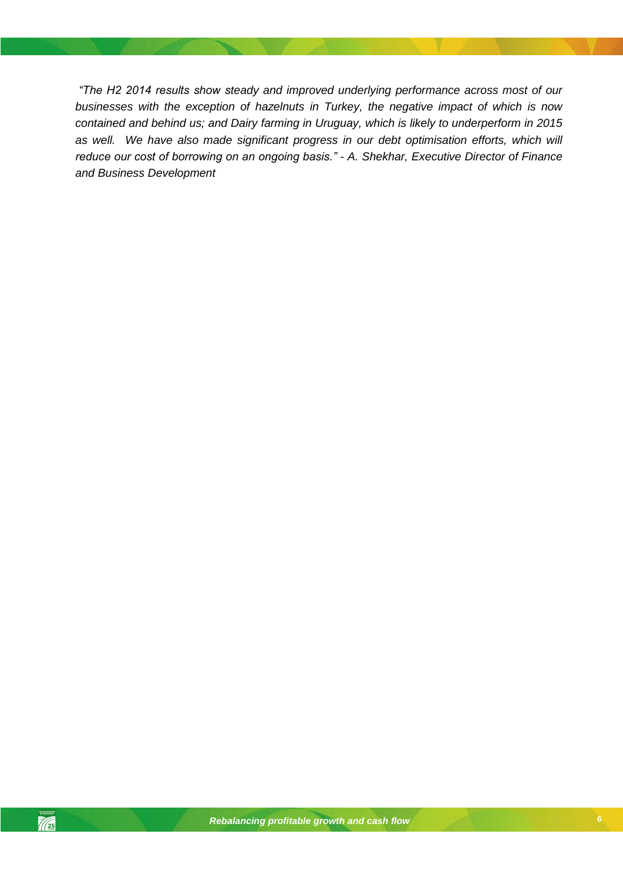*"The H2 2014 results show steady and improved underlying performance across most of our businesses with the exception of hazelnuts in Turkey, the negative impact of which is now contained and behind us; and Dairy farming in Uruguay, which is likely to underperform in 2015*  as well. We have also made significant progress in our debt optimisation efforts, which will *reduce our cost of borrowing on an ongoing basis." - A. Shekhar, Executive Director of Finance and Business Development*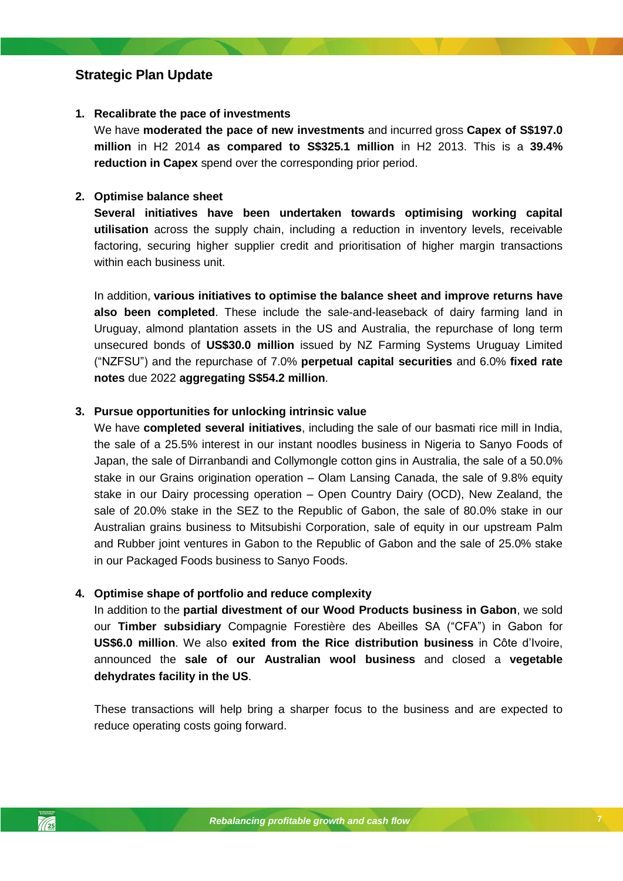# <span id="page-6-0"></span>**Strategic Plan Update**

### **1. Recalibrate the pace of investments**

We have **moderated the pace of new investments** and incurred gross **Capex of S\$197.0 million** in H2 2014 **as compared to S\$325.1 million** in H2 2013. This is a **39.4% reduction in Capex** spend over the corresponding prior period.

### **2. Optimise balance sheet**

**Several initiatives have been undertaken towards optimising working capital utilisation** across the supply chain, including a reduction in inventory levels, receivable factoring, securing higher supplier credit and prioritisation of higher margin transactions within each business unit.

In addition, **various initiatives to optimise the balance sheet and improve returns have also been completed**. These include the sale-and-leaseback of dairy farming land in Uruguay, almond plantation assets in the US and Australia, the repurchase of long term unsecured bonds of **US\$30.0 million** issued by NZ Farming Systems Uruguay Limited ("NZFSU") and the repurchase of 7.0% **perpetual capital securities** and 6.0% **fixed rate notes** due 2022 **aggregating S\$54.2 million**.

### **3. Pursue opportunities for unlocking intrinsic value**

stake in our Dairy processing operation – Open Country Dairy (OCD), New Zealand, the We have **completed several initiatives**, including the sale of our basmati rice mill in India, the sale of a 25.5% interest in our instant noodles business in Nigeria to Sanyo Foods of Japan, the sale of Dirranbandi and Collymongle cotton gins in Australia, the sale of a 50.0% stake in our Grains origination operation – Olam Lansing Canada, the sale of 9.8% equity sale of 20.0% stake in the SEZ to the Republic of Gabon, the sale of 80.0% stake in our Australian grains business to Mitsubishi Corporation, sale of equity in our upstream Palm and Rubber joint ventures in Gabon to the Republic of Gabon and the sale of 25.0% stake in our Packaged Foods business to Sanyo Foods.

### **4. Optimise shape of portfolio and reduce complexity**

In addition to the **partial divestment of our Wood Products business in Gabon**, we sold our **Timber subsidiary** Compagnie Forestière des Abeilles SA ("CFA") in Gabon for **US\$6.0 million**. We also **exited from the Rice distribution business** in Côte d'Ivoire, announced the **sale of our Australian wool business** and closed a **vegetable dehydrates facility in the US**.

These transactions will help bring a sharper focus to the business and are expected to reduce operating costs going forward.

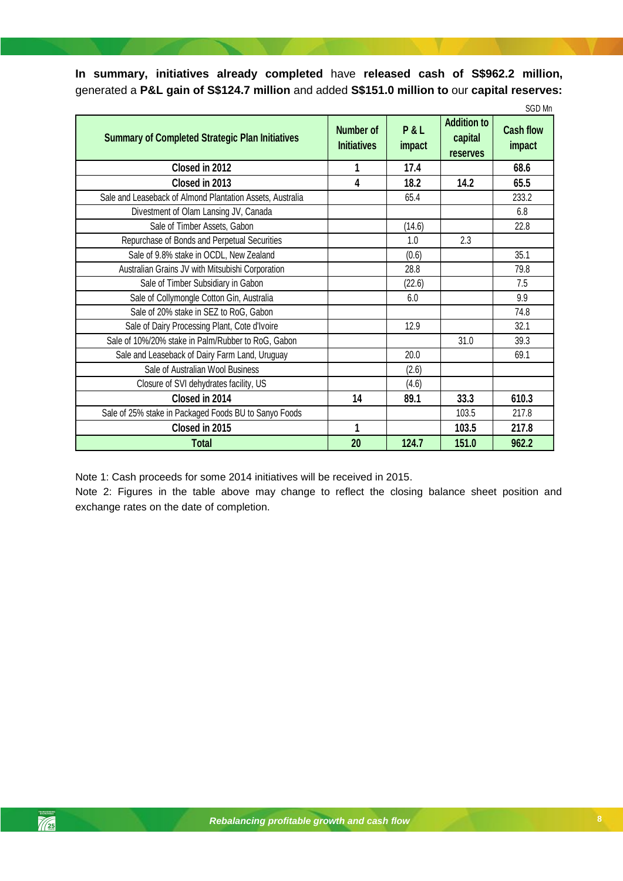**In summary, initiatives already completed** have **released cash of S\$962.2 million,**  generated a **P&L gain of S\$124.7 million** and added **S\$151.0 million to** our **capital reserves:**

|                                                           |                                 |               |                                                  | SGD Mn                     |
|-----------------------------------------------------------|---------------------------------|---------------|--------------------------------------------------|----------------------------|
| <b>Summary of Completed Strategic Plan Initiatives</b>    | Number of<br><b>Initiatives</b> | P&L<br>impact | <b>Addition to</b><br>capital<br><b>reserves</b> | <b>Cash flow</b><br>impact |
| Closed in 2012                                            |                                 | 17.4          |                                                  | 68.6                       |
| Closed in 2013                                            | 4                               | 18.2          | 14.2                                             | 65.5                       |
| Sale and Leaseback of Almond Plantation Assets, Australia |                                 | 65.4          |                                                  | 233.2                      |
| Divestment of Olam Lansing JV, Canada                     |                                 |               |                                                  | 6.8                        |
| Sale of Timber Assets, Gabon                              |                                 | (14.6)        |                                                  | 22.8                       |
| Repurchase of Bonds and Perpetual Securities              |                                 | 1.0           | 2.3                                              |                            |
| Sale of 9.8% stake in OCDL, New Zealand                   |                                 | (0.6)         |                                                  | 35.1                       |
| Australian Grains JV with Mitsubishi Corporation          |                                 | 28.8          |                                                  | 79.8                       |
| Sale of Timber Subsidiary in Gabon                        |                                 | (22.6)        |                                                  | 7.5                        |
| Sale of Collymongle Cotton Gin, Australia                 |                                 | 6.0           |                                                  | 9.9                        |
| Sale of 20% stake in SEZ to RoG, Gabon                    |                                 |               |                                                  | 74.8                       |
| Sale of Dairy Processing Plant, Cote d'Ivoire             |                                 | 12.9          |                                                  | 32.1                       |
| Sale of 10%/20% stake in Palm/Rubber to RoG, Gabon        |                                 |               | 31.0                                             | 39.3                       |
| Sale and Leaseback of Dairy Farm Land, Uruguay            |                                 | 20.0          |                                                  | 69.1                       |
| Sale of Australian Wool Business                          |                                 | (2.6)         |                                                  |                            |
| Closure of SVI dehydrates facility, US                    |                                 | (4.6)         |                                                  |                            |
| Closed in 2014                                            | 14                              | 89.1          | 33.3                                             | 610.3                      |
| Sale of 25% stake in Packaged Foods BU to Sanyo Foods     |                                 |               | 103.5                                            | 217.8                      |
| Closed in 2015                                            | 1                               |               | 103.5                                            | 217.8                      |
| Total                                                     | 20                              | 124.7         | 151.0                                            | 962.2                      |

Note 1: Cash proceeds for some 2014 initiatives will be received in 2015.

Note 2: Figures in the table above may change to reflect the closing balance sheet position and exchange rates on the date of completion.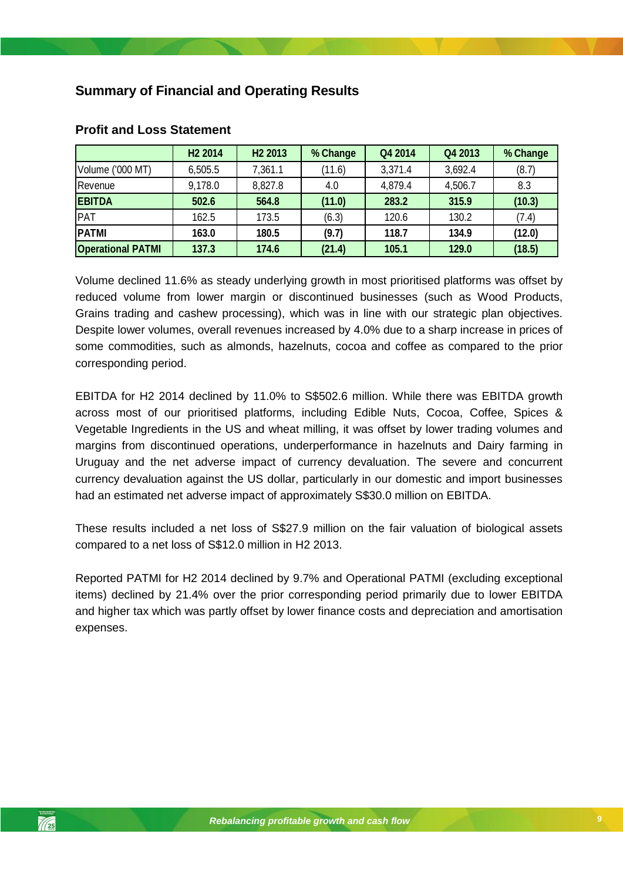# <span id="page-8-0"></span>**Summary of Financial and Operating Results**

|                          | H <sub>2</sub> 2014 | H <sub>2</sub> 2013 | % Change | Q4 2014 | Q4 2013 | % Change |
|--------------------------|---------------------|---------------------|----------|---------|---------|----------|
| Volume ('000 MT)         | 6,505.5             | 7,361.1             | (11.6)   | 3,371.4 | 3,692.4 | (8.7)    |
| Revenue                  | 9,178.0             | 8,827.8             | 4.0      | 4,879.4 | 4,506.7 | 8.3      |
| <b>EBITDA</b>            | 502.6               | 564.8               | (11.0)   | 283.2   | 315.9   | (10.3)   |
| PAT                      | 162.5               | 173.5               | (6.3)    | 120.6   | 130.2   | (7.4)    |
| <b>PATMI</b>             | 163.0               | 180.5               | (9.7)    | 118.7   | 134.9   | (12.0)   |
| <b>Operational PATMI</b> | 137.3               | 174.6               | (21.4)   | 105.1   | 129.0   | (18.5)   |

## <span id="page-8-1"></span>**Profit and Loss Statement**

Volume declined 11.6% as steady underlying growth in most prioritised platforms was offset by reduced volume from lower margin or discontinued businesses (such as Wood Products, Grains trading and cashew processing), which was in line with our strategic plan objectives. Despite lower volumes, overall revenues increased by 4.0% due to a sharp increase in prices of some commodities, such as almonds, hazelnuts, cocoa and coffee as compared to the prior corresponding period.

had an estimated net adverse impact of approximately S\$30.0 million on EBITDA. EBITDA for H2 2014 declined by 11.0% to S\$502.6 million. While there was EBITDA growth across most of our prioritised platforms, including Edible Nuts, Cocoa, Coffee, Spices & Vegetable Ingredients in the US and wheat milling, it was offset by lower trading volumes and margins from discontinued operations, underperformance in hazelnuts and Dairy farming in Uruguay and the net adverse impact of currency devaluation. The severe and concurrent currency devaluation against the US dollar, particularly in our domestic and import businesses

These results included a net loss of S\$27.9 million on the fair valuation of biological assets compared to a net loss of S\$12.0 million in H2 2013.

Reported PATMI for H2 2014 declined by 9.7% and Operational PATMI (excluding exceptional items) declined by 21.4% over the prior corresponding period primarily due to lower EBITDA and higher tax which was partly offset by lower finance costs and depreciation and amortisation expenses.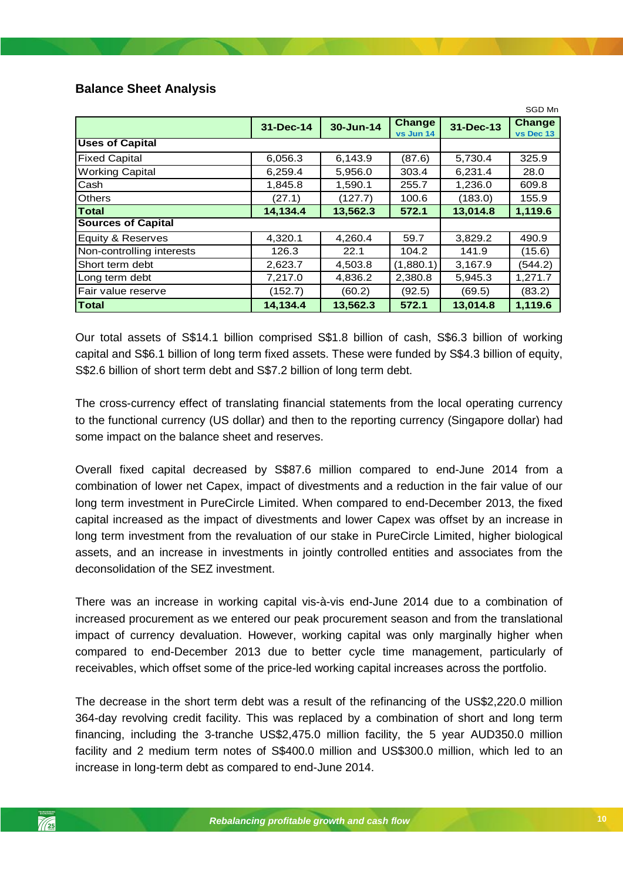# <span id="page-9-0"></span>**Balance Sheet Analysis**

|                           |           |           |                            |           | SGD Mn                     |
|---------------------------|-----------|-----------|----------------------------|-----------|----------------------------|
|                           | 31-Dec-14 | 30-Jun-14 | <b>Change</b><br>vs Jun 14 | 31-Dec-13 | <b>Change</b><br>vs Dec 13 |
| <b>Uses of Capital</b>    |           |           |                            |           |                            |
| <b>Fixed Capital</b>      | 6,056.3   | 6,143.9   | (87.6)                     | 5,730.4   | 325.9                      |
| <b>Working Capital</b>    | 6.259.4   | 5.956.0   | 303.4                      | 6,231.4   | 28.0                       |
| Cash                      | 1,845.8   | 1,590.1   | 255.7                      | 1,236.0   | 609.8                      |
| <b>Others</b>             | (27.1)    | (127.7)   | 100.6                      | (183.0)   | 155.9                      |
| <b>Total</b>              | 14,134.4  | 13,562.3  | 572.1                      | 13,014.8  | 1,119.6                    |
| <b>Sources of Capital</b> |           |           |                            |           |                            |
| Equity & Reserves         | 4,320.1   | 4,260.4   | 59.7                       | 3,829.2   | 490.9                      |
| Non-controlling interests | 126.3     | 22.1      | 104.2                      | 141.9     | (15.6)                     |
| Short term debt           | 2,623.7   | 4,503.8   | (1,880.1)                  | 3,167.9   | (544.2)                    |
| Long term debt            | 7,217.0   | 4,836.2   | 2,380.8                    | 5,945.3   | 1,271.7                    |
| Fair value reserve        | (152.7)   | (60.2)    | (92.5)                     | (69.5)    | (83.2)                     |
| <b>Total</b>              | 14,134.4  | 13,562.3  | 572.1                      | 13,014.8  | 1,119.6                    |

Our total assets of S\$14.1 billion comprised S\$1.8 billion of cash, S\$6.3 billion of working capital and S\$6.1 billion of long term fixed assets. These were funded by S\$4.3 billion of equity, S\$2.6 billion of short term debt and S\$7.2 billion of long term debt.

The cross-currency effect of translating financial statements from the local operating currency to the functional currency (US dollar) and then to the reporting currency (Singapore dollar) had some impact on the balance sheet and reserves.

*Rebalancing profitable growth and cash flow* combination of lower net Capex, impact of divestments and a reduction in the fair value of our Overall fixed capital decreased by S\$87.6 million compared to end-June 2014 from a long term investment in PureCircle Limited. When compared to end-December 2013, the fixed capital increased as the impact of divestments and lower Capex was offset by an increase in long term investment from the revaluation of our stake in PureCircle Limited, higher biological assets, and an increase in investments in jointly controlled entities and associates from the deconsolidation of the SEZ investment.

There was an increase in working capital vis-à-vis end-June 2014 due to a combination of increased procurement as we entered our peak procurement season and from the translational impact of currency devaluation. However, working capital was only marginally higher when compared to end-December 2013 due to better cycle time management, particularly of receivables, which offset some of the price-led working capital increases across the portfolio.

The decrease in the short term debt was a result of the refinancing of the US\$2,220.0 million 364-day revolving credit facility. This was replaced by a combination of short and long term financing, including the 3-tranche US\$2,475.0 million facility, the 5 year AUD350.0 million facility and 2 medium term notes of S\$400.0 million and US\$300.0 million, which led to an increase in long-term debt as compared to end-June 2014.

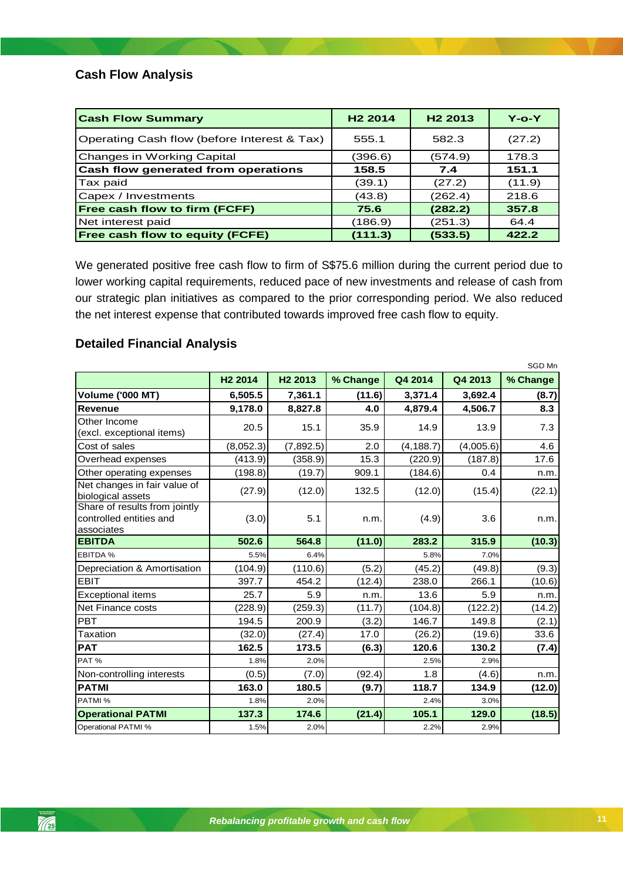# <span id="page-10-0"></span>**Cash Flow Analysis**

| <b>Cash Flow Summary</b>                    | H <sub>2</sub> 2014 | H <sub>2</sub> 2013 | $Y$ -o- $Y$ |
|---------------------------------------------|---------------------|---------------------|-------------|
| Operating Cash flow (before Interest & Tax) | 555.1               | 582.3               | (27.2)      |
| Changes in Working Capital                  | (396.6)             | (574.9)             | 178.3       |
| Cash flow generated from operations         | 158.5               | 7.4                 | 151.1       |
| Tax paid                                    | (39.1)              | (27.2)              | (11.9)      |
| Capex / Investments                         | (43.8)              | (262.4)             | 218.6       |
| Free cash flow to firm (FCFF)               | 75.6                | (282.2)             | 357.8       |
| Net interest paid                           | (186.9)             | (251.3)             | 64.4        |
| Free cash flow to equity (FCFE)             | (111.3)             | (533.5)             | 422.2       |

We generated positive free cash flow to firm of S\$75.6 million during the current period due to lower working capital requirements, reduced pace of new investments and release of cash from our strategic plan initiatives as compared to the prior corresponding period. We also reduced the net interest expense that contributed towards improved free cash flow to equity.

# <span id="page-10-1"></span>**Detailed Financial Analysis**

|                                                                        |                     |                     |          |            |           | SGD Mn   |
|------------------------------------------------------------------------|---------------------|---------------------|----------|------------|-----------|----------|
|                                                                        | H <sub>2</sub> 2014 | H <sub>2</sub> 2013 | % Change | Q4 2014    | Q4 2013   | % Change |
| <b>Volume ('000 MT)</b>                                                | 6,505.5             | 7,361.1             | (11.6)   | 3,371.4    | 3,692.4   | (8.7)    |
| <b>Revenue</b>                                                         | 9,178.0             | 8,827.8             | 4.0      | 4,879.4    | 4,506.7   | 8.3      |
| Other Income<br>(excl. exceptional items)                              | 20.5                | 15.1                | 35.9     | 14.9       | 13.9      | 7.3      |
| Cost of sales                                                          | (8,052.3)           | (7,892.5)           | 2.0      | (4, 188.7) | (4,005.6) | 4.6      |
| Overhead expenses                                                      | (413.9)             | (358.9)             | 15.3     | (220.9)    | (187.8)   | 17.6     |
| Other operating expenses                                               | (198.8)             | (19.7)              | 909.1    | (184.6)    | 0.4       | n.m.     |
| Net changes in fair value of<br>biological assets                      | (27.9)              | (12.0)              | 132.5    | (12.0)     | (15.4)    | (22.1)   |
| Share of results from jointly<br>controlled entities and<br>associates | (3.0)               | 5.1                 | n.m.     | (4.9)      | 3.6       | n.m.     |
| <b>EBITDA</b>                                                          | 502.6               | 564.8               | (11.0)   | 283.2      | 315.9     | (10.3)   |
| EBITDA %                                                               | 5.5%                | 6.4%                |          | 5.8%       | 7.0%      |          |
| Depreciation & Amortisation                                            | (104.9)             | (110.6)             | (5.2)    | (45.2)     | (49.8)    | (9.3)    |
| <b>EBIT</b>                                                            | 397.7               | 454.2               | (12.4)   | 238.0      | 266.1     | (10.6)   |
| <b>Exceptional items</b>                                               | 25.7                | 5.9                 | n.m.     | 13.6       | 5.9       | n.m.     |
| Net Finance costs                                                      | (228.9)             | (259.3)             | (11.7)   | (104.8)    | (122.2)   | (14.2)   |
| <b>PBT</b>                                                             | 194.5               | 200.9               | (3.2)    | 146.7      | 149.8     | (2.1)    |
| Taxation                                                               | (32.0)              | (27.4)              | 17.0     | (26.2)     | (19.6)    | 33.6     |
| <b>PAT</b>                                                             | 162.5               | 173.5               | (6.3)    | 120.6      | 130.2     | (7.4)    |
| PAT%                                                                   | 1.8%                | 2.0%                |          | 2.5%       | 2.9%      |          |
| Non-controlling interests                                              | (0.5)               | (7.0)               | (92.4)   | 1.8        | (4.6)     | n.m.     |
| <b>PATMI</b>                                                           | 163.0               | 180.5               | (9.7)    | 118.7      | 134.9     | (12.0)   |
| PATMI %                                                                | 1.8%                | 2.0%                |          | 2.4%       | 3.0%      |          |
| <b>Operational PATMI</b>                                               | 137.3               | 174.6               | (21.4)   | 105.1      | 129.0     | (18.5)   |
| <b>Operational PATMI %</b>                                             | 1.5%                | 2.0%                |          | 2.2%       | 2.9%      |          |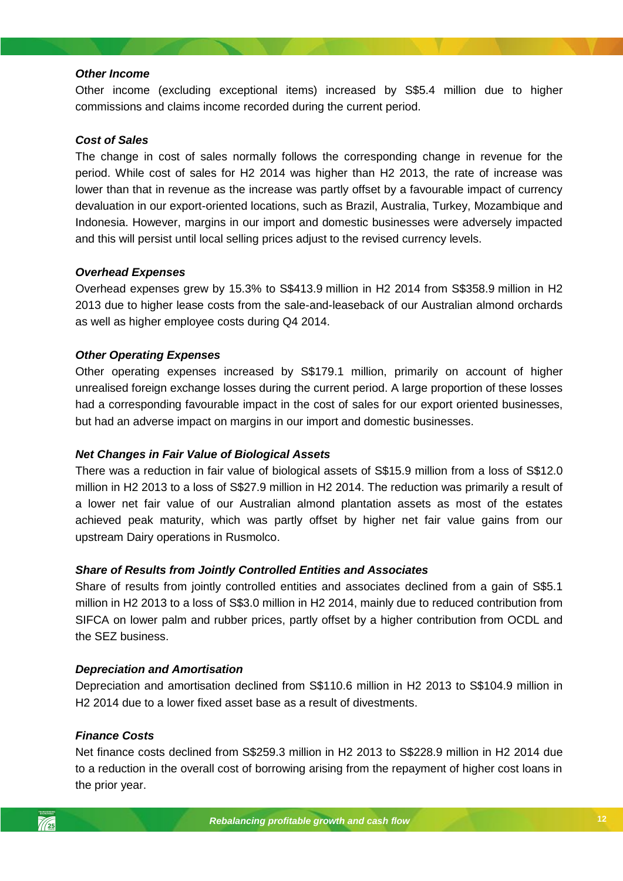### *Other Income*

Other income (excluding exceptional items) increased by S\$5.4 million due to higher commissions and claims income recorded during the current period.

### *Cost of Sales*

The change in cost of sales normally follows the corresponding change in revenue for the period. While cost of sales for H2 2014 was higher than H2 2013, the rate of increase was lower than that in revenue as the increase was partly offset by a favourable impact of currency devaluation in our export-oriented locations, such as Brazil, Australia, Turkey, Mozambique and Indonesia. However, margins in our import and domestic businesses were adversely impacted and this will persist until local selling prices adjust to the revised currency levels.

## *Overhead Expenses*

Overhead expenses grew by 15.3% to S\$413.9 million in H2 2014 from S\$358.9 million in H2 2013 due to higher lease costs from the sale-and-leaseback of our Australian almond orchards as well as higher employee costs during Q4 2014.

### *Other Operating Expenses*

Other operating expenses increased by S\$179.1 million, primarily on account of higher unrealised foreign exchange losses during the current period. A large proportion of these losses had a corresponding favourable impact in the cost of sales for our export oriented businesses, but had an adverse impact on margins in our import and domestic businesses.

### *Net Changes in Fair Value of Biological Assets*

*Rebalancing profitable growth and cash flow* million in H2 2013 to a loss of S\$27.9 million in H2 2014. The reduction was primarily a result of There was a reduction in fair value of biological assets of S\$15.9 million from a loss of S\$12.0 a lower net fair value of our Australian almond plantation assets as most of the estates achieved peak maturity, which was partly offset by higher net fair value gains from our upstream Dairy operations in Rusmolco.

### *Share of Results from Jointly Controlled Entities and Associates*

Share of results from jointly controlled entities and associates declined from a gain of S\$5.1 million in H2 2013 to a loss of S\$3.0 million in H2 2014, mainly due to reduced contribution from SIFCA on lower palm and rubber prices, partly offset by a higher contribution from OCDL and the SEZ business.

### *Depreciation and Amortisation*

Depreciation and amortisation declined from S\$110.6 million in H2 2013 to S\$104.9 million in H2 2014 due to a lower fixed asset base as a result of divestments.

### *Finance Costs*

Net finance costs declined from S\$259.3 million in H2 2013 to S\$228.9 million in H2 2014 due to a reduction in the overall cost of borrowing arising from the repayment of higher cost loans in the prior year.

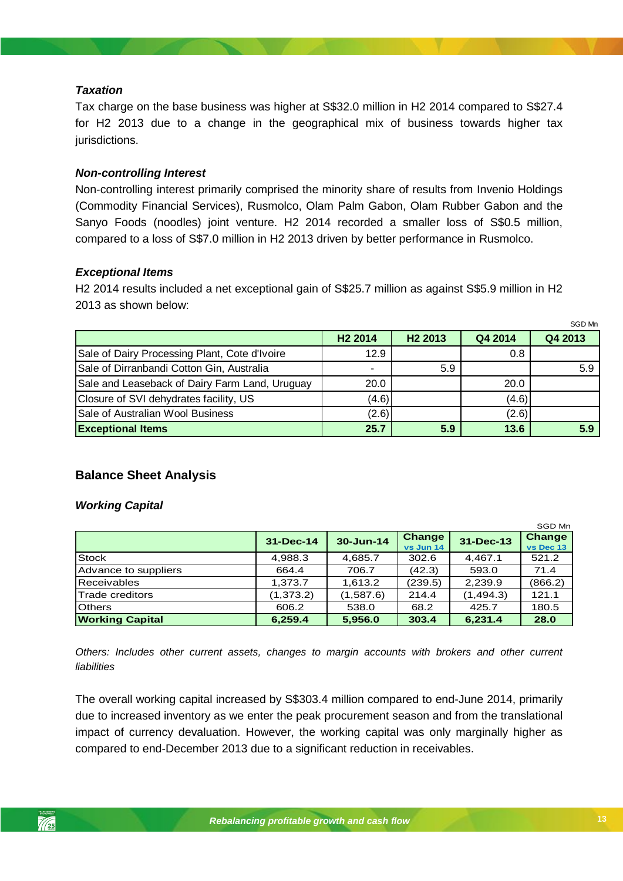## *Taxation*

Tax charge on the base business was higher at S\$32.0 million in H2 2014 compared to S\$27.4 for H2 2013 due to a change in the geographical mix of business towards higher tax jurisdictions.

# *Non-controlling Interest*

Non-controlling interest primarily comprised the minority share of results from Invenio Holdings (Commodity Financial Services), Rusmolco, Olam Palm Gabon, Olam Rubber Gabon and the Sanyo Foods (noodles) joint venture. H2 2014 recorded a smaller loss of S\$0.5 million, compared to a loss of S\$7.0 million in H2 2013 driven by better performance in Rusmolco.

# *Exceptional Items*

H2 2014 results included a net exceptional gain of S\$25.7 million as against S\$5.9 million in H2 2013 as shown below:

|                                                |                       |                     |         | SGD Mn  |
|------------------------------------------------|-----------------------|---------------------|---------|---------|
|                                                | H <sub>2</sub> 2014   | H <sub>2</sub> 2013 | Q4 2014 | Q4 2013 |
| Sale of Dairy Processing Plant, Cote d'Ivoire  | 12.9                  |                     | 0.8     |         |
| Sale of Dirranbandi Cotton Gin, Australia      | $\tilde{\phantom{a}}$ | 5.9                 |         | 5.9     |
| Sale and Leaseback of Dairy Farm Land, Uruguay | 20.0                  |                     | 20.0    |         |
| Closure of SVI dehydrates facility, US         | (4.6)                 |                     | (4.6)   |         |
| Sale of Australian Wool Business               | (2.6)                 |                     | (2.6)   |         |
| <b>Exceptional Items</b>                       | 25.7                  | 5.9                 | 13.6    | 5.9     |

# **Balance Sheet Analysis**

## *Working Capital*

|                        |            |           |                     |            | SGD Mn              |
|------------------------|------------|-----------|---------------------|------------|---------------------|
|                        | 31-Dec-14  | 30-Jun-14 | Change<br>vs Jun 14 | 31-Dec-13  | Change<br>vs Dec 13 |
| <b>Stock</b>           | 4,988.3    | 4,685.7   | 302.6               | 4,467.1    | 521.2               |
| Advance to suppliers   | 664.4      | 706.7     | (42.3)              | 593.0      | 71.4                |
| Receivables            | 1,373.7    | 1,613.2   | (239.5)             | 2,239.9    | (866.2)             |
| <b>Trade creditors</b> | (1, 373.2) | (1,587.6) | 214.4               | (1, 494.3) | 121.1               |
| <b>Others</b>          | 606.2      | 538.0     | 68.2                | 425.7      | 180.5               |
| <b>Working Capital</b> | 6,259.4    | 5,956.0   | 303.4               | 6,231.4    | 28.0                |

*Others: Includes other current assets, changes to margin accounts with brokers and other current liabilities*

The overall working capital increased by S\$303.4 million compared to end-June 2014, primarily due to increased inventory as we enter the peak procurement season and from the translational impact of currency devaluation. However, the working capital was only marginally higher as compared to end-December 2013 due to a significant reduction in receivables.

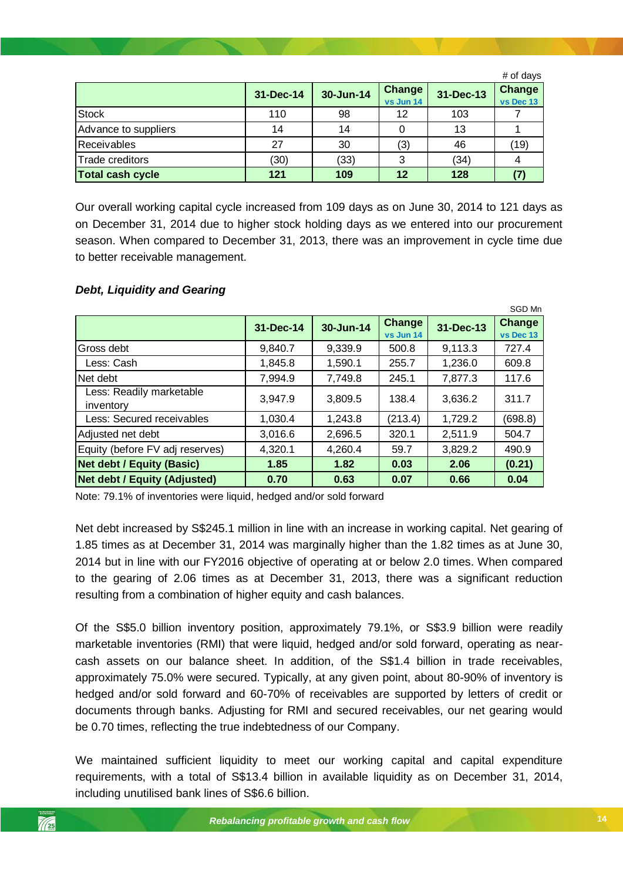|                         |           |           |                            |           | # of days           |
|-------------------------|-----------|-----------|----------------------------|-----------|---------------------|
|                         | 31-Dec-14 | 30-Jun-14 | <b>Change</b><br>vs Jun 14 | 31-Dec-13 | Change<br>vs Dec 13 |
| <b>Stock</b>            | 110       | 98        | 12                         | 103       |                     |
| Advance to suppliers    | 14        | 14        | 0                          | 13        |                     |
| Receivables             | 27        | 30        | (3)                        | 46        | (19)                |
| Trade creditors         | (30)      | (33)      | 3                          | (34)      |                     |
| <b>Total cash cycle</b> | 121       | 109       | 12                         | 128       |                     |

Our overall working capital cycle increased from 109 days as on June 30, 2014 to 121 days as on December 31, 2014 due to higher stock holding days as we entered into our procurement season. When compared to December 31, 2013, there was an improvement in cycle time due to better receivable management.

#### SGD Mn **31-Dec-14 30-Jun-14 Change vs Jun 14 31-Dec-13 Change vs Dec 13** Gross debt 9,840.7 9,339.9 500.8 9,113.3 727.4 Less: Cash 1,845.8 1,590.1 255.7 1,236.0 609.8 Net debt 7,994.9 7,749.8 245.1 7,877.3 117.6 Less: Readily marketable 2033. Reading manicipality 3,947.9 3,809.5 138.4 3,636.2 311.7 Less: Secured receivables 1,030.4 1,243.8 (213.4) 1,729.2 (698.8) Adjusted net debt 3,016.6 2,696.5 320.1 2,511.9 504.7 Equity (before FV adj reserves) 4,320.1 4,260.4 59.7 3,829.2 490.9 **Net debt / Equity (Basic) 1.85 1.82 0.03 2.06 (0.21) Net debt / Equity (Adjusted) 0.70 0.63 0.07 0.66 0.04**

# *Debt, Liquidity and Gearing*

*Rebalancing profitable growth and cash flow* Note: 79.1% of inventories were liquid, hedged and/or sold forward

Net debt increased by S\$245.1 million in line with an increase in working capital. Net gearing of 1.85 times as at December 31, 2014 was marginally higher than the 1.82 times as at June 30, 2014 but in line with our FY2016 objective of operating at or below 2.0 times. When compared to the gearing of 2.06 times as at December 31, 2013, there was a significant reduction resulting from a combination of higher equity and cash balances.

Of the S\$5.0 billion inventory position, approximately 79.1%, or S\$3.9 billion were readily marketable inventories (RMI) that were liquid, hedged and/or sold forward, operating as nearcash assets on our balance sheet. In addition, of the S\$1.4 billion in trade receivables, approximately 75.0% were secured. Typically, at any given point, about 80-90% of inventory is hedged and/or sold forward and 60-70% of receivables are supported by letters of credit or documents through banks. Adjusting for RMI and secured receivables, our net gearing would be 0.70 times, reflecting the true indebtedness of our Company.

We maintained sufficient liquidity to meet our working capital and capital expenditure requirements, with a total of S\$13.4 billion in available liquidity as on December 31, 2014, including unutilised bank lines of S\$6.6 billion.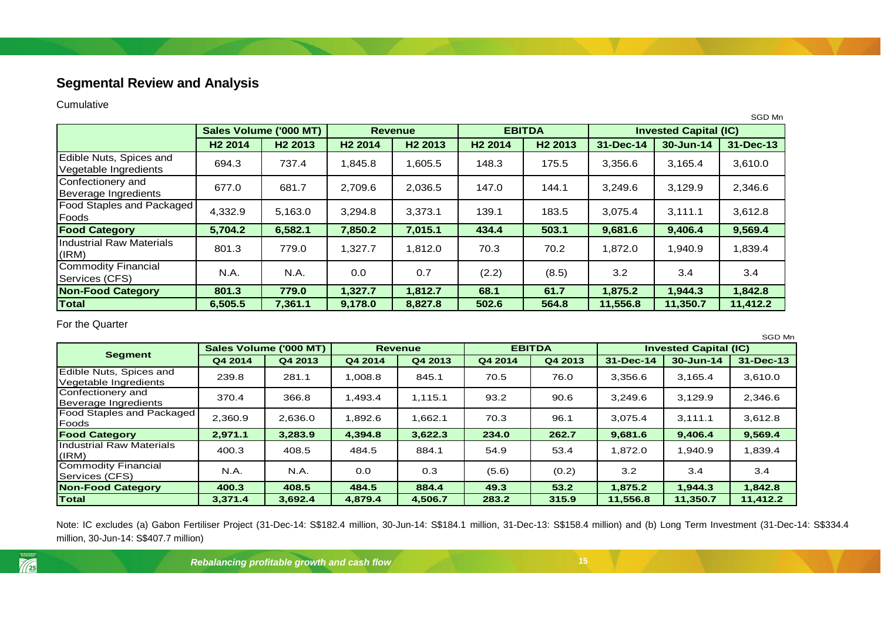# **Segmental Review and Analysis**

### Cumulative

|                                                  |                     |                        |                     |                     |                     |                     |           |                              | SGD Mn    |  |
|--------------------------------------------------|---------------------|------------------------|---------------------|---------------------|---------------------|---------------------|-----------|------------------------------|-----------|--|
|                                                  |                     | Sales Volume ('000 MT) |                     | <b>Revenue</b>      |                     | <b>EBITDA</b>       |           | <b>Invested Capital (IC)</b> |           |  |
|                                                  | H <sub>2</sub> 2014 | H <sub>2</sub> 2013    | H <sub>2</sub> 2014 | H <sub>2</sub> 2013 | H <sub>2</sub> 2014 | H <sub>2</sub> 2013 | 31-Dec-14 | 30-Jun-14                    | 31-Dec-13 |  |
| Edible Nuts, Spices and<br>Vegetable Ingredients | 694.3               | 737.4                  | 1,845.8             | 1,605.5             | 148.3               | 175.5               | 3,356.6   | 3,165.4                      | 3,610.0   |  |
| Confectionery and<br>Beverage Ingredients        | 677.0               | 681.7                  | 2,709.6             | 2,036.5             | 147.0               | 144.1               | 3,249.6   | 3,129.9                      | 2,346.6   |  |
| <b>Food Staples and Packaged</b><br>Foods        | 4,332.9             | 5,163.0                | 3,294.8             | 3,373.1             | 139.1               | 183.5               | 3,075.4   | 3,111.1                      | 3,612.8   |  |
| <b>Food Category</b>                             | 5,704.2             | 6,582.1                | 7,850.2             | 7,015.1             | 434.4               | 503.1               | 9,681.6   | 9,406.4                      | 9,569.4   |  |
| Industrial Raw Materials<br>(IRM)                | 801.3               | 779.0                  | 1,327.7             | 1,812.0             | 70.3                | 70.2                | 1.872.0   | 1.940.9                      | 1,839.4   |  |
| Commodity Financial<br>Services (CFS)            | N.A.                | N.A.                   | 0.0                 | 0.7                 | (2.2)               | (8.5)               | 3.2       | 3.4                          | 3.4       |  |
| <b>Non-Food Category</b>                         | 801.3               | 779.0                  | 1,327.7             | 1,812.7             | 68.1                | 61.7                | 1,875.2   | 1,944.3                      | 1,842.8   |  |
| Total                                            | 6,505.5             | 7,361.1                | 9,178.0             | 8,827.8             | 502.6               | 564.8               | 11,556.8  | 11,350.7                     | 11,412.2  |  |

For the Quarter

<span id="page-14-0"></span>

|                                                  |         |                        |         |                |         |               |           |                              | SGD Mn    |
|--------------------------------------------------|---------|------------------------|---------|----------------|---------|---------------|-----------|------------------------------|-----------|
|                                                  |         | Sales Volume ('000 MT) |         | <b>Revenue</b> |         | <b>EBITDA</b> |           | <b>Invested Capital (IC)</b> |           |
| <b>Segment</b>                                   | Q4 2014 | Q4 2013                | Q4 2014 | Q4 2013        | Q4 2014 | Q4 2013       | 31-Dec-14 | 30-Jun-14                    | 31-Dec-13 |
| Edible Nuts, Spices and<br>Vegetable Ingredients | 239.8   | 281.1                  | 1,008.8 | 845.1          | 70.5    | 76.0          | 3,356.6   | 3.165.4                      | 3,610.0   |
| Confectionery and<br>Beverage Ingredients        | 370.4   | 366.8                  | 1,493.4 | 1,115.1        | 93.2    | 90.6          | 3.249.6   | 3.129.9                      | 2,346.6   |
| <b>Food Staples and Packaged</b><br>Foods        | 2.360.9 | 2,636.0                | 1.892.6 | 1.662.1        | 70.3    | 96.1          | 3,075.4   | 3.111.1                      | 3,612.8   |
| <b>Food Category</b>                             | 2,971.1 | 3,283.9                | 4,394.8 | 3,622.3        | 234.0   | 262.7         | 9,681.6   | 9,406.4                      | 9,569.4   |
| Industrial Raw Materials<br>(IRM)                | 400.3   | 408.5                  | 484.5   | 884.1          | 54.9    | 53.4          | .872.0    | 1.940.9                      | 1,839.4   |
| Commodity Financial<br><b>Services (CFS)</b>     | N.A.    | N.A.                   | 0.0     | 0.3            | (5.6)   | (0.2)         | 3.2       | 3.4                          | 3.4       |
| <b>Non-Food Category</b>                         | 400.3   | 408.5                  | 484.5   | 884.4          | 49.3    | 53.2          | 1,875.2   | 1,944.3                      | 1,842.8   |
| Total                                            | 3.371.4 | 3,692.4                | 4,879.4 | 4,506.7        | 283.2   | 315.9         | 11,556.8  | 11,350.7                     | 11,412.2  |

Note: IC excludes (a) Gabon Fertiliser Project (31-Dec-14: S\$182.4 million, 30-Jun-14: S\$184.1 million, 31-Dec-13: S\$158.4 million) and (b) Long Term Investment (31-Dec-14: S\$334.4 million, 30-Jun-14: S\$407.7 million)

*Rebalancing profitable growth and cash flow* **15**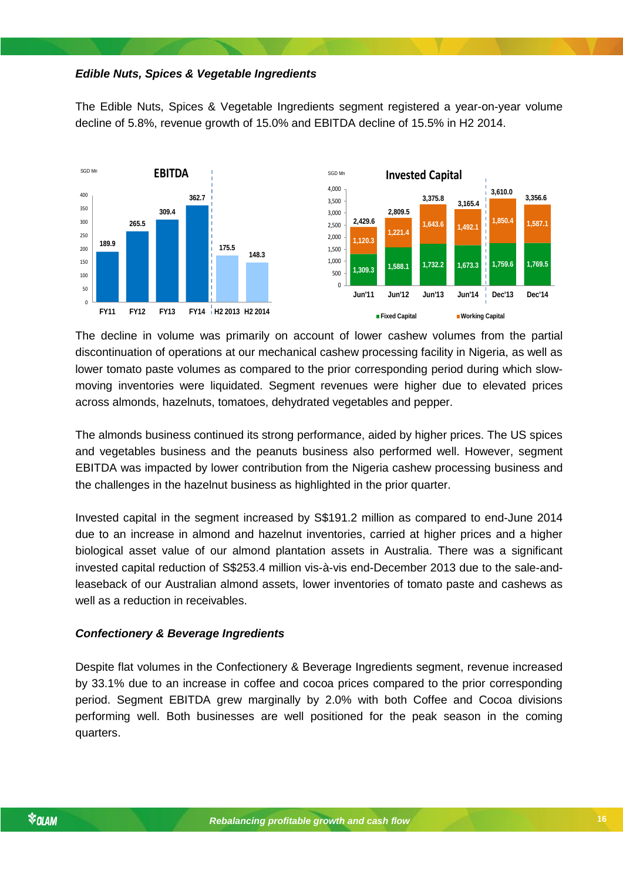### *Edible Nuts, Spices & Vegetable Ingredients*

The Edible Nuts, Spices & Vegetable Ingredients segment registered a year-on-year volume decline of 5.8%, revenue growth of 15.0% and EBITDA decline of 15.5% in H2 2014.



The decline in volume was primarily on account of lower cashew volumes from the partial discontinuation of operations at our mechanical cashew processing facility in Nigeria, as well as lower tomato paste volumes as compared to the prior corresponding period during which slowmoving inventories were liquidated. Segment revenues were higher due to elevated prices across almonds, hazelnuts, tomatoes, dehydrated vegetables and pepper.

The almonds business continued its strong performance, aided by higher prices. The US spices and vegetables business and the peanuts business also performed well. However, segment EBITDA was impacted by lower contribution from the Nigeria cashew processing business and the challenges in the hazelnut business as highlighted in the prior quarter.

invested capital reduction of S\$253.4 million vis-à-vis end-December 2013 due to the sale-and-Invested capital in the segment increased by S\$191.2 million as compared to end-June 2014 due to an increase in almond and hazelnut inventories, carried at higher prices and a higher biological asset value of our almond plantation assets in Australia. There was a significant leaseback of our Australian almond assets, lower inventories of tomato paste and cashews as well as a reduction in receivables.

### *Confectionery & Beverage Ingredients*

Despite flat volumes in the Confectionery & Beverage Ingredients segment, revenue increased by 33.1% due to an increase in coffee and cocoa prices compared to the prior corresponding period. Segment EBITDA grew marginally by 2.0% with both Coffee and Cocoa divisions performing well. Both businesses are well positioned for the peak season in the coming quarters.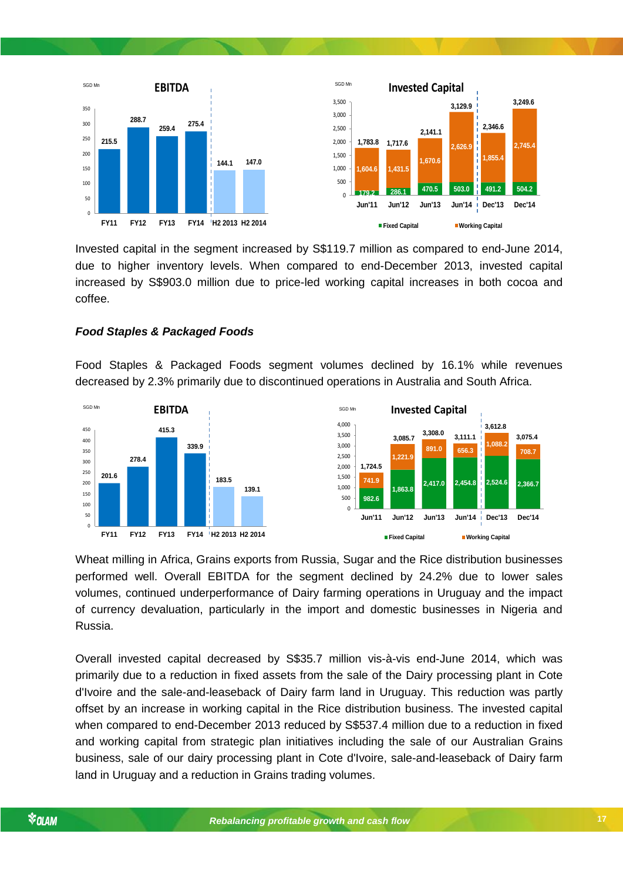

Invested capital in the segment increased by S\$119.7 million as compared to end-June 2014, due to higher inventory levels. When compared to end-December 2013, invested capital increased by S\$903.0 million due to price-led working capital increases in both cocoa and coffee.

### *Food Staples & Packaged Foods*

Food Staples & Packaged Foods segment volumes declined by 16.1% while revenues decreased by 2.3% primarily due to discontinued operations in Australia and South Africa.



Wheat milling in Africa, Grains exports from Russia, Sugar and the Rice distribution businesses performed well. Overall EBITDA for the segment declined by 24.2% due to lower sales volumes, continued underperformance of Dairy farming operations in Uruguay and the impact of currency devaluation, particularly in the import and domestic businesses in Nigeria and Russia.

Overall invested capital decreased by S\$35.7 million vis-à-vis end-June 2014, which was primarily due to a reduction in fixed assets from the sale of the Dairy processing plant in Cote d'Ivoire and the sale-and-leaseback of Dairy farm land in Uruguay. This reduction was partly offset by an increase in working capital in the Rice distribution business. The invested capital when compared to end-December 2013 reduced by S\$537.4 million due to a reduction in fixed and working capital from strategic plan initiatives including the sale of our Australian Grains business, sale of our dairy processing plant in Cote d'Ivoire, sale-and-leaseback of Dairy farm land in Uruguay and a reduction in Grains trading volumes.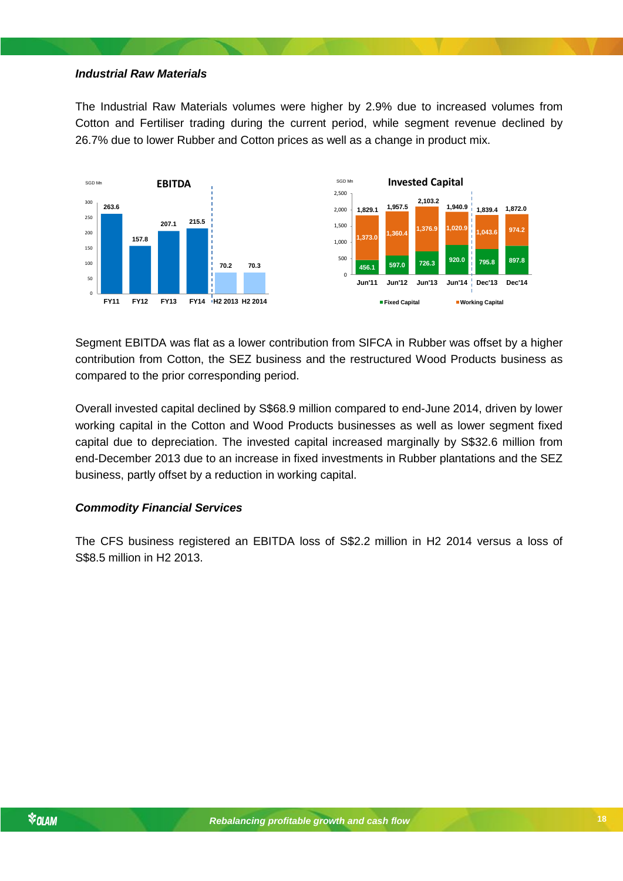### *Industrial Raw Materials*

The Industrial Raw Materials volumes were higher by 2.9% due to increased volumes from Cotton and Fertiliser trading during the current period, while segment revenue declined by 26.7% due to lower Rubber and Cotton prices as well as a change in product mix.



Segment EBITDA was flat as a lower contribution from SIFCA in Rubber was offset by a higher contribution from Cotton, the SEZ business and the restructured Wood Products business as compared to the prior corresponding period.

Overall invested capital declined by S\$68.9 million compared to end-June 2014, driven by lower working capital in the Cotton and Wood Products businesses as well as lower segment fixed capital due to depreciation. The invested capital increased marginally by S\$32.6 million from end-December 2013 due to an increase in fixed investments in Rubber plantations and the SEZ business, partly offset by a reduction in working capital.

## *Commodity Financial Services*

*Rebalancing profitable growth and cash flow* The CFS business registered an EBITDA loss of S\$2.2 million in H2 2014 versus a loss of S\$8.5 million in H2 2013.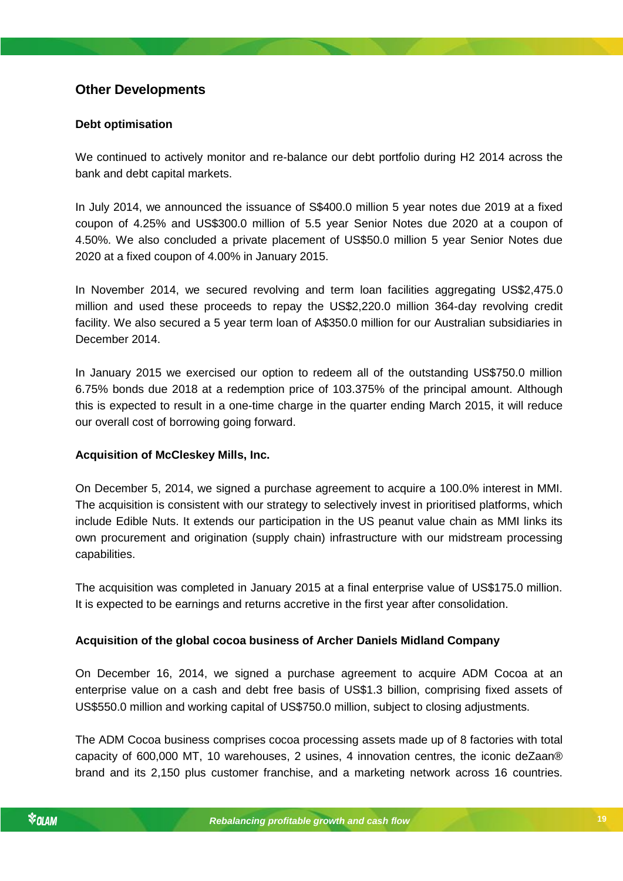# <span id="page-18-0"></span>**Other Developments**

### **Debt optimisation**

We continued to actively monitor and re-balance our debt portfolio during H2 2014 across the bank and debt capital markets.

In July 2014, we announced the issuance of S\$400.0 million 5 year notes due 2019 at a fixed coupon of 4.25% and US\$300.0 million of 5.5 year Senior Notes due 2020 at a coupon of 4.50%. We also concluded a private placement of US\$50.0 million 5 year Senior Notes due 2020 at a fixed coupon of 4.00% in January 2015.

In November 2014, we secured revolving and term loan facilities aggregating US\$2,475.0 million and used these proceeds to repay the US\$2,220.0 million 364-day revolving credit facility. We also secured a 5 year term loan of A\$350.0 million for our Australian subsidiaries in December 2014.

In January 2015 we exercised our option to redeem all of the outstanding US\$750.0 million 6.75% bonds due 2018 at a redemption price of 103.375% of the principal amount. Although this is expected to result in a one-time charge in the quarter ending March 2015, it will reduce our overall cost of borrowing going forward.

### **Acquisition of McCleskey Mills, Inc.**

On December 5, 2014, we signed a purchase agreement to acquire a 100.0% interest in MMI. The acquisition is consistent with our strategy to selectively invest in prioritised platforms, which include Edible Nuts. It extends our participation in the US peanut value chain as MMI links its own procurement and origination (supply chain) infrastructure with our midstream processing capabilities.

The acquisition was completed in January 2015 at a final enterprise value of US\$175.0 million. It is expected to be earnings and returns accretive in the first year after consolidation.

## **Acquisition of the global cocoa business of Archer Daniels Midland Company**

On December 16, 2014, we signed a purchase agreement to acquire ADM Cocoa at an enterprise value on a cash and debt free basis of US\$1.3 billion, comprising fixed assets of US\$550.0 million and working capital of US\$750.0 million, subject to closing adjustments.

The ADM Cocoa business comprises cocoa processing assets made up of 8 factories with total capacity of 600,000 MT, 10 warehouses, 2 usines, 4 innovation centres, the iconic deZaan® brand and its 2,150 plus customer franchise, and a marketing network across 16 countries.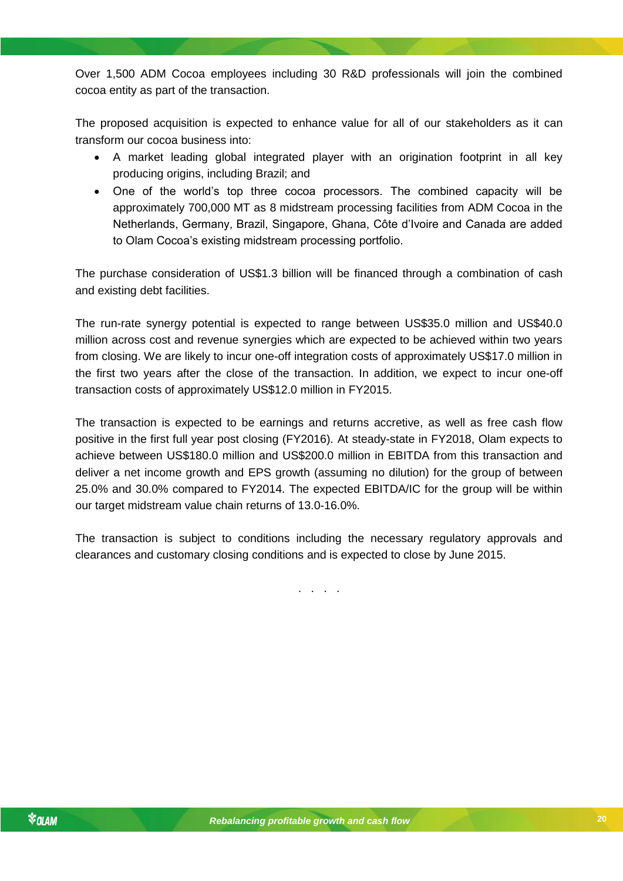Over 1,500 ADM Cocoa employees including 30 R&D professionals will join the combined cocoa entity as part of the transaction.

The proposed acquisition is expected to enhance value for all of our stakeholders as it can transform our cocoa business into:

- A market leading global integrated player with an origination footprint in all key producing origins, including Brazil; and
- One of the world's top three cocoa processors. The combined capacity will be approximately 700,000 MT as 8 midstream processing facilities from ADM Cocoa in the Netherlands, Germany, Brazil, Singapore, Ghana, Côte d'Ivoire and Canada are added to Olam Cocoa's existing midstream processing portfolio.

The purchase consideration of US\$1.3 billion will be financed through a combination of cash and existing debt facilities.

The run-rate synergy potential is expected to range between US\$35.0 million and US\$40.0 million across cost and revenue synergies which are expected to be achieved within two years from closing. We are likely to incur one-off integration costs of approximately US\$17.0 million in the first two years after the close of the transaction. In addition, we expect to incur one-off transaction costs of approximately US\$12.0 million in FY2015.

The transaction is expected to be earnings and returns accretive, as well as free cash flow positive in the first full year post closing (FY2016). At steady-state in FY2018, Olam expects to achieve between US\$180.0 million and US\$200.0 million in EBITDA from this transaction and deliver a net income growth and EPS growth (assuming no dilution) for the group of between 25.0% and 30.0% compared to FY2014. The expected EBITDA/IC for the group will be within our target midstream value chain returns of 13.0-16.0%.

*Rebalancing profitable growth and cash flow* clearances and customary closing conditions and is expected to close by June 2015. The transaction is subject to conditions including the necessary regulatory approvals and

. . . .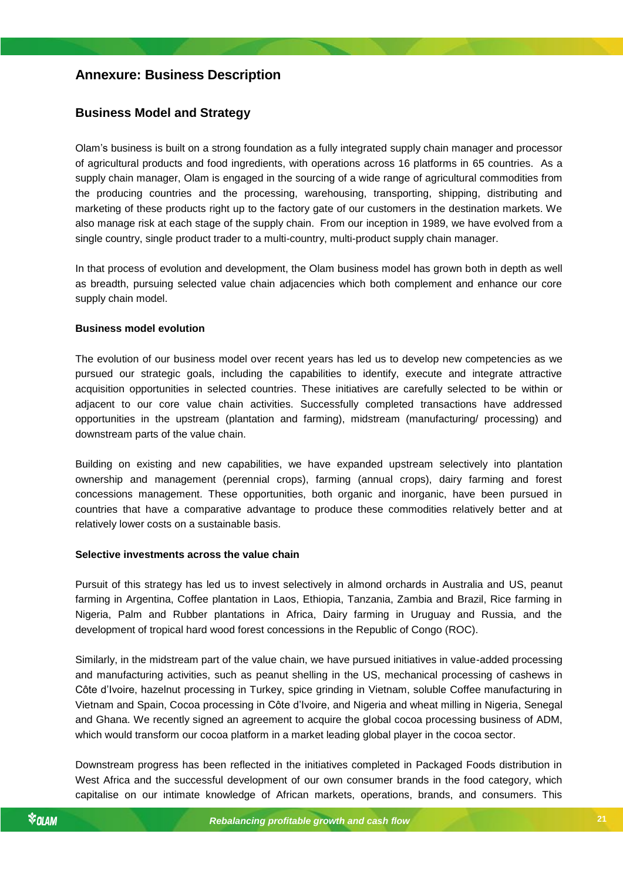# <span id="page-20-0"></span>**Annexure: Business Description**

# <span id="page-20-1"></span>**Business Model and Strategy**

Olam's business is built on a strong foundation as a fully integrated supply chain manager and processor of agricultural products and food ingredients, with operations across 16 platforms in 65 countries. As a supply chain manager, Olam is engaged in the sourcing of a wide range of agricultural commodities from the producing countries and the processing, warehousing, transporting, shipping, distributing and marketing of these products right up to the factory gate of our customers in the destination markets. We also manage risk at each stage of the supply chain. From our inception in 1989, we have evolved from a single country, single product trader to a multi-country, multi-product supply chain manager.

In that process of evolution and development, the Olam business model has grown both in depth as well as breadth, pursuing selected value chain adjacencies which both complement and enhance our core supply chain model.

#### **Business model evolution**

The evolution of our business model over recent years has led us to develop new competencies as we pursued our strategic goals, including the capabilities to identify, execute and integrate attractive acquisition opportunities in selected countries. These initiatives are carefully selected to be within or adjacent to our core value chain activities. Successfully completed transactions have addressed opportunities in the upstream (plantation and farming), midstream (manufacturing/ processing) and downstream parts of the value chain.

Building on existing and new capabilities, we have expanded upstream selectively into plantation ownership and management (perennial crops), farming (annual crops), dairy farming and forest concessions management. These opportunities, both organic and inorganic, have been pursued in countries that have a comparative advantage to produce these commodities relatively better and at relatively lower costs on a sustainable basis.

#### *Rebalancing profitable growth and cash flow* **Selective investments across the value chain**

Pursuit of this strategy has led us to invest selectively in almond orchards in Australia and US, peanut farming in Argentina, Coffee plantation in Laos, Ethiopia, Tanzania, Zambia and Brazil, Rice farming in Nigeria, Palm and Rubber plantations in Africa, Dairy farming in Uruguay and Russia, and the development of tropical hard wood forest concessions in the Republic of Congo (ROC).

Similarly, in the midstream part of the value chain, we have pursued initiatives in value-added processing and manufacturing activities, such as peanut shelling in the US, mechanical processing of cashews in Côte d'Ivoire, hazelnut processing in Turkey, spice grinding in Vietnam, soluble Coffee manufacturing in Vietnam and Spain, Cocoa processing in Côte d'Ivoire, and Nigeria and wheat milling in Nigeria, Senegal and Ghana. We recently signed an agreement to acquire the global cocoa processing business of ADM, which would transform our cocoa platform in a market leading global player in the cocoa sector.

Downstream progress has been reflected in the initiatives completed in Packaged Foods distribution in West Africa and the successful development of our own consumer brands in the food category, which capitalise on our intimate knowledge of African markets, operations, brands, and consumers. This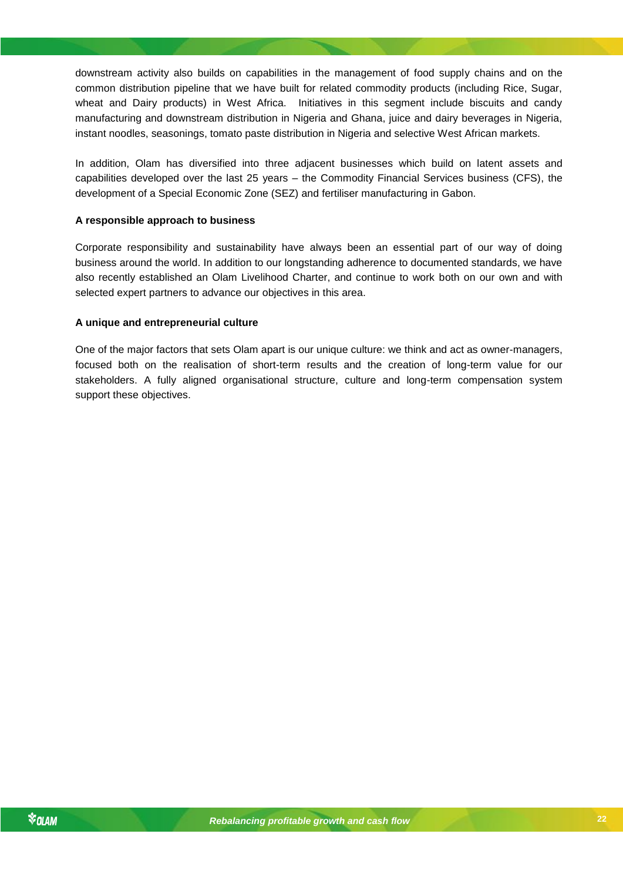downstream activity also builds on capabilities in the management of food supply chains and on the common distribution pipeline that we have built for related commodity products (including Rice, Sugar, wheat and Dairy products) in West Africa. Initiatives in this segment include biscuits and candy manufacturing and downstream distribution in Nigeria and Ghana, juice and dairy beverages in Nigeria, instant noodles, seasonings, tomato paste distribution in Nigeria and selective West African markets.

In addition, Olam has diversified into three adjacent businesses which build on latent assets and capabilities developed over the last 25 years – the Commodity Financial Services business (CFS), the development of a Special Economic Zone (SEZ) and fertiliser manufacturing in Gabon.

#### **A responsible approach to business**

Corporate responsibility and sustainability have always been an essential part of our way of doing business around the world. In addition to our longstanding adherence to documented standards, we have also recently established an Olam Livelihood Charter, and continue to work both on our own and with selected expert partners to advance our objectives in this area.

#### **A unique and entrepreneurial culture**

One of the major factors that sets Olam apart is our unique culture: we think and act as owner-managers, focused both on the realisation of short-term results and the creation of long-term value for our stakeholders. A fully aligned organisational structure, culture and long-term compensation system support these objectives.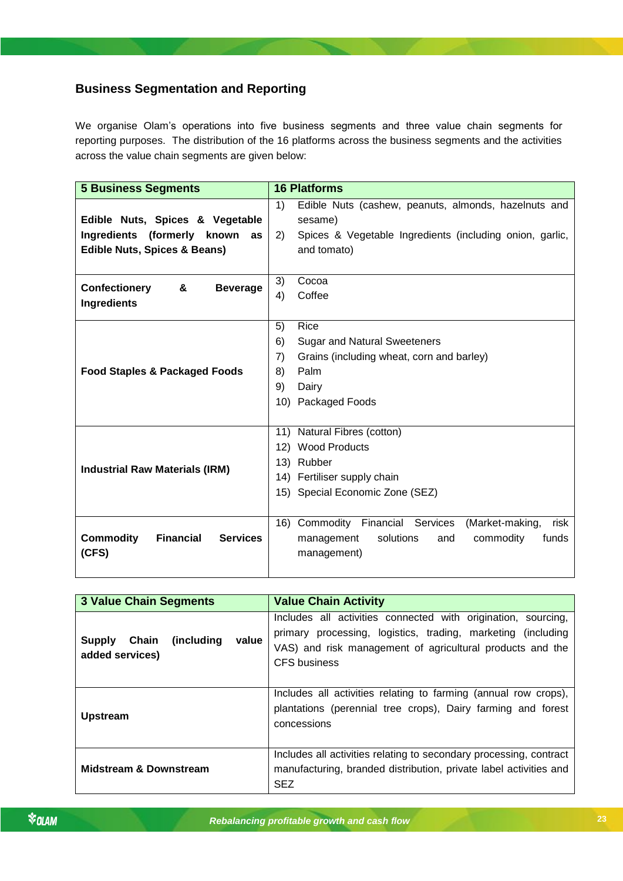# <span id="page-22-0"></span>**Business Segmentation and Reporting**

We organise Olam's operations into five business segments and three value chain segments for reporting purposes. The distribution of the 16 platforms across the business segments and the activities across the value chain segments are given below:

| <b>5 Business Segments</b>                                                   | <b>16 Platforms</b>                                                                                                                                           |  |  |  |
|------------------------------------------------------------------------------|---------------------------------------------------------------------------------------------------------------------------------------------------------------|--|--|--|
| Edible Nuts, Spices & Vegetable                                              | 1)<br>Edible Nuts (cashew, peanuts, almonds, hazelnuts and<br>sesame)                                                                                         |  |  |  |
| Ingredients (formerly known<br>as<br><b>Edible Nuts, Spices &amp; Beans)</b> | Spices & Vegetable Ingredients (including onion, garlic,<br>and tomato)                                                                                       |  |  |  |
| <b>Confectionery</b><br>&<br><b>Beverage</b><br><b>Ingredients</b>           | 3)<br>Cocoa<br>4)<br>Coffee                                                                                                                                   |  |  |  |
| <b>Food Staples &amp; Packaged Foods</b>                                     | 5)<br>Rice<br>6)<br><b>Sugar and Natural Sweeteners</b><br>7)<br>Grains (including wheat, corn and barley)<br>Palm<br>8)<br>9)<br>Dairy<br>10) Packaged Foods |  |  |  |
| <b>Industrial Raw Materials (IRM)</b>                                        | 11) Natural Fibres (cotton)<br>12) Wood Products<br>13) Rubber<br>14) Fertiliser supply chain<br>15) Special Economic Zone (SEZ)                              |  |  |  |
| <b>Commodity</b><br><b>Financial</b><br><b>Services</b><br>(CFS)             | 16) Commodity Financial Services<br>(Market-making,<br>risk<br>solutions<br>and<br>commodity<br>funds<br>management<br>management)                            |  |  |  |

| <b>3 Value Chain Segments</b>                             | <b>Value Chain Activity</b>                                                                                                                                                                                       |  |  |  |
|-----------------------------------------------------------|-------------------------------------------------------------------------------------------------------------------------------------------------------------------------------------------------------------------|--|--|--|
| (including<br>value<br>Chain<br>Supply<br>added services) | Includes all activities connected with origination, sourcing,<br>primary processing, logistics, trading, marketing (including<br>VAS) and risk management of agricultural products and the<br><b>CFS</b> business |  |  |  |
| <b>Upstream</b>                                           | Includes all activities relating to farming (annual row crops),<br>plantations (perennial tree crops), Dairy farming and forest<br>concessions                                                                    |  |  |  |
| <b>Midstream &amp; Downstream</b>                         | Includes all activities relating to secondary processing, contract<br>manufacturing, branded distribution, private label activities and<br><b>SEZ</b>                                                             |  |  |  |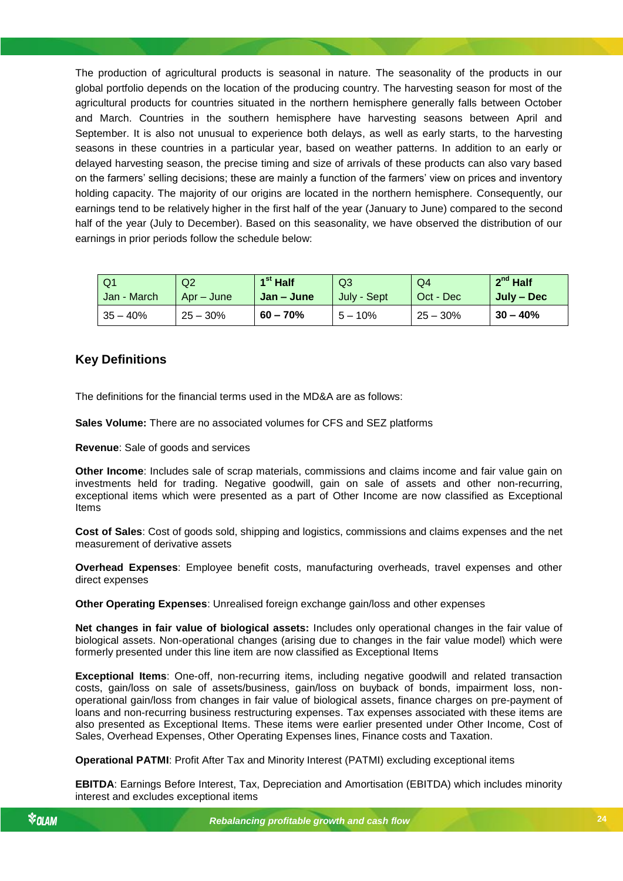The production of agricultural products is seasonal in nature. The seasonality of the products in our global portfolio depends on the location of the producing country. The harvesting season for most of the agricultural products for countries situated in the northern hemisphere generally falls between October and March. Countries in the southern hemisphere have harvesting seasons between April and September. It is also not unusual to experience both delays, as well as early starts, to the harvesting seasons in these countries in a particular year, based on weather patterns. In addition to an early or delayed harvesting season, the precise timing and size of arrivals of these products can also vary based on the farmers' selling decisions; these are mainly a function of the farmers' view on prices and inventory holding capacity. The majority of our origins are located in the northern hemisphere. Consequently, our earnings tend to be relatively higher in the first half of the year (January to June) compared to the second half of the year (July to December). Based on this seasonality, we have observed the distribution of our earnings in prior periods follow the schedule below:

| Q1          | Q2         | $1st$ Half | Q3          | Q4         | $2^{nd}$ Half |
|-------------|------------|------------|-------------|------------|---------------|
| Jan - March | Apr – June | Jan – June | July - Sept | Oct - Dec  | July – Dec    |
| $35 - 40%$  | $25 - 30%$ | $60 - 70%$ | $5 - 10%$   | $25 - 30%$ | $30 - 40%$    |

# <span id="page-23-0"></span>**Key Definitions**

The definitions for the financial terms used in the MD&A are as follows:

**Sales Volume:** There are no associated volumes for CFS and SEZ platforms

**Revenue**: Sale of goods and services

**Other Income**: Includes sale of scrap materials, commissions and claims income and fair value gain on investments held for trading. Negative goodwill, gain on sale of assets and other non-recurring, exceptional items which were presented as a part of Other Income are now classified as Exceptional Items

**Cost of Sales**: Cost of goods sold, shipping and logistics, commissions and claims expenses and the net measurement of derivative assets

**Overhead Expenses**: Employee benefit costs, manufacturing overheads, travel expenses and other direct expenses

**Other Operating Expenses**: Unrealised foreign exchange gain/loss and other expenses

**Net changes in fair value of biological assets:** Includes only operational changes in the fair value of biological assets. Non-operational changes (arising due to changes in the fair value model) which were formerly presented under this line item are now classified as Exceptional Items

**Exceptional Items**: One-off, non-recurring items, including negative goodwill and related transaction costs, gain/loss on sale of assets/business, gain/loss on buyback of bonds, impairment loss, nonoperational gain/loss from changes in fair value of biological assets, finance charges on pre-payment of loans and non-recurring business restructuring expenses. Tax expenses associated with these items are also presented as Exceptional Items. These items were earlier presented under Other Income, Cost of Sales, Overhead Expenses, Other Operating Expenses lines, Finance costs and Taxation.

**Operational PATMI**: Profit After Tax and Minority Interest (PATMI) excluding exceptional items

**EBITDA**: Earnings Before Interest, Tax, Depreciation and Amortisation (EBITDA) which includes minority interest and excludes exceptional items